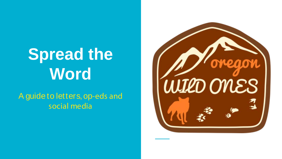# **Spread the Word**

A guide to letters, op-eds and social media

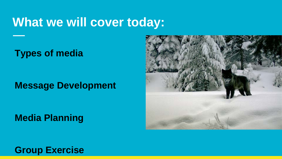### **What we will cover today:**

**Types of media** 

#### **Message Development**

**Media Planning**



**Group Exercise**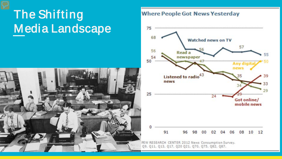## The Shifting Media Landscape



#### **Where People Got News Yesterday**

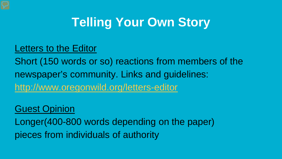### **Telling Your Own Story**

#### Letters to the Editor

Short (150 words or so) reactions from members of the newspaper's community. Links and guidelines: <http://www.oregonwild.org/letters-editor>

#### Guest Opinion

Longer(400-800 words depending on the paper) pieces from individuals of authority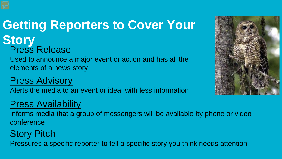### **Getting Reporters to Cover Your Story** Press Release

Used to announce a major event or action and has all the elements of a news story

#### Press Advisory

Alerts the media to an event or idea, with less information

#### Press Availability

Informs media that a group of messengers will be available by phone or video conference

#### Story Pitch

Pressures a specific reporter to tell a specific story you think needs attention

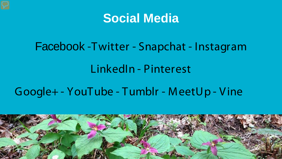### **Social Media**

### Facebook -Twitter - Snapchat - Instagram

### LinkedIn - Pinterest

#### Google+ - YouTube - Tumblr - M eetUp - V ine

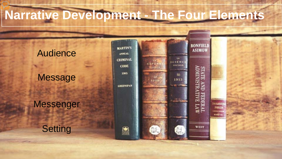## **Narrative Development - The Four Elements**

**MARTIN'S** 

**ANNUAL CRIMINAL** 

**CODE** 

1985

**GREENSPAN** 

#### Audience

#### Message

#### Messenger

**Setting** 





**FEDER** 

**CERTIFICATE HYTHJOSO** 

**FRIHOUS Exoumen MNONITES YYYYYY**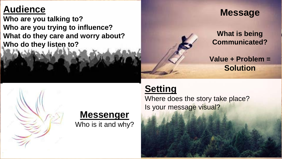#### **Audience**

**Who are you talking to? Who are you trying to influence? What do they care and worry about? Who do they listen to?** 

#### **Message**

#### **What is being Communicated?**

**Value + Problem = Solution** 

#### **Setting**

Where does the story take place? Is your message visual?



Who is it and why?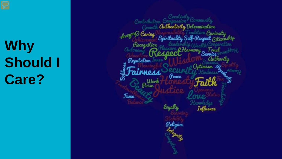**Why Should I Care?**

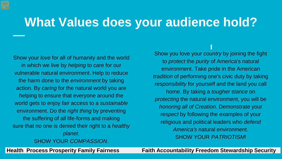### **What Values does your audience hold?**

Show your *love* for all of humanity and the world in which we live by *helping* to care for our vulnerable natural environment. Help to reduce the harm done to the *environment* by taking action. By *caring* for the natural world you are helping to ensure that everyone around the world gets to enjoy *fair* access to a *sustainable*  environment. Do the *right thing* by preventing the suffering of all life-forms and making sure that no one is denied their right to a *healthy planet*. SHOW YOUR *COMPASSION*.

Show you love your *country* by joining the fight to *protect* the *purity* of America's natural environment. Take pride in the American *tradition* of performing one's civic duty by taking *responsibility* for yourself and the land you call home. By taking a *tougher stance* on *protecting* the natural environment, you will be *honoring all of Creation*. Demonstrate your *respect* by following the examples of your religious and political leaders who *defend America's* natural environment. SHOW YOUR *PATRIOTISM*!

**Health Process Prosperity Family Fairness Faith Accountability Freedom Stewardship Security**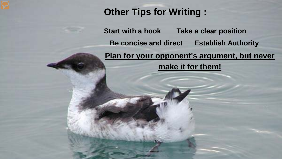#### **Other Tips for Writing :**

**Start with a hook Take a clear position Be concise and direct Establish Authority Plan for your opponent's argument, but never make it for them!**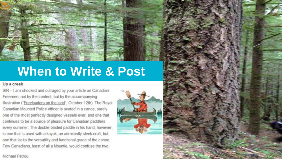

#### Up a creek

SIR - I am shocked and outraged by your article on Canadian Freemen, not by the content, but by the accompanying illustration ("Freeloaders on the land", October 12th). The Royal Canadian Mounted Police officer is seated in a canoe, surely one of the most perfectly designed vessels ever, and one that continues to be a source of pleasure for Canadian paddlers every summer. The double-bladed paddle in his hand, however, is one that is used with a kayak, an admittedly sleek craft, but one that lacks the versatility and functional grace of the canoe. Few Canadians, least of all a Mountie, would confuse the two.



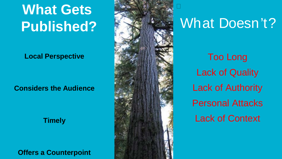# **What Gets Published?**

**Local Perspective**

**Considers the Audience**

#### **Timely**

**Offers a Counterpoint**



## What Doesn't?

Too Long Lack of Quality Lack of Authority Personal Attacks Lack of Context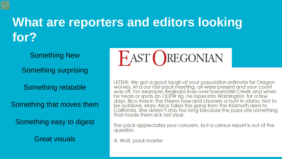### **What are reporters and editors looking for?**

Something New

Something surprising

Something relatable

Something that moves them

Something easy to digest

Great visuals



LETTER: We got a good laugh at your population estimate for Oregon<br>wolves. At a our last pack meeting, all were present and your count<br>was off. For example, Reginald lives over toward Mill Creek and when he hears or spots an ODFW rig, he lopes into Washington for a few days. Rico lives in the Steens now and chooses a hunt in Idaho. Not to be outdone, Mary Alice takes the gang from the Klamath area to<br>California. She doesn't stay too long because the pups ate something that made them sick last year.

The pack appreciates your concern, but a census report is out of the question.

A. Wolf, pack master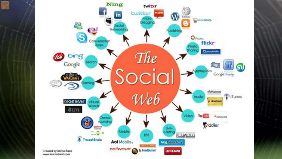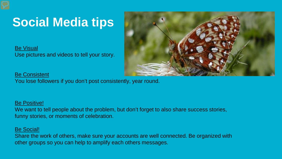## **Social Media tips**

Be Visual Use pictures and videos to tell your story.



Be Consistent You lose followers if you don't post consistently, year round.

#### Be Positive!

We want to tell people about the problem, but don't forget to also share success stories, funny stories, or moments of celebration.

#### Be Social!

Share the work of others, make sure your accounts are well connected. Be organized with other groups so you can help to amplify each others messages.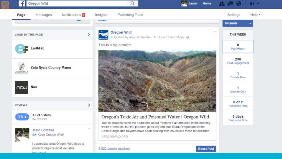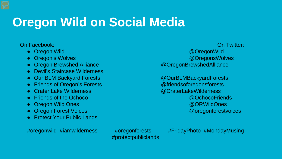## **Oregon Wild on Social Media**

#### On Facebook: On Twitter:

- 
- 
- Oregon Brewshed Alliance and a control and a control and a control and a control and a control and a control and a control and a control and a control and a control and a control and a control and a control and a contro
- Devil's Staircase Wilderness
- Our BLM Backyard Forests and a control and a control and a control and a control and a control and a control and a control and a control and a control and a control and a control and a control and a control and a contro
- Friends of Oregon's Forests **and Contract and Contract Contract Contract Contract Contract Contract Contract Contract Contract Contract Contract Contract Contract Contract Contract Contract Contract Contract Contract Co**
- Crater Lake Wilderness @CraterLakeWilderness
- 
- 
- 
- Protect Your Public Lands

#protectpubliclands

#oregonwild #iamwilderness #oregonforests #FridayPhoto #MondayMusing

● Oregon Wild @OregonWild ● Oregon's Wolves and Contract the Contract of Contract of Contract of Contract of Contract of Contract of Contract of Contract of Contract of Contract of Contract of Contract of Contract of Contract of Contract of Contra

● Friends of the Ochoco @OchocoFriends ● Oregon Wild Ones and the contract of the contract of the contract of the contract of the contract of the contract of the contract of the contract of the contract of the contract of the contract of the contract of the co ● Oregon Forest Voices and Contract Contract Contract Contract Contract Contract Contract Contract Contract Contract Contract Contract Contract Contract Contract Contract Contract Contract Contract Contract Contract Contr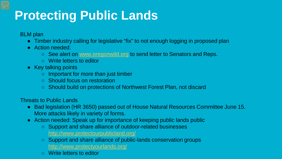## **Protecting Public Lands**

BLM plan

- Timber industry calling for legislative "fix" to not enough logging in proposed plan
- Action needed:
	- See alert on www.oregonwild.org to send letter to Senators and Reps.
	- Write letters to editor
- Key talking points
	- Important for more than just timber
	- Should focus on restoration
	- Should build on protections of Northwest Forest Plan, not discard

Threats to Public Lands

- Bad legislation (HR 3650) passed out of House Natural Resources Committee June 15. More attacks likely in variety of forms.
- Action needed: Speak up for importance of keeping public lands public
	- Support and share alliance of outdoor-related businesses <http://www.protectourpublicland.org/>
	- Support and share alliance of public-lands conservation groups <http://www.protectyourlands.org/>
	- Write letters to editor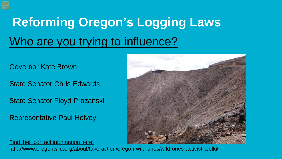# **Reforming Oregon's Logging Laws** Who are you trying to influence?

#### Governor Kate Brown

State Senator Chris Edwards

State Senator Floyd Prozanski

Representative Paul Holvey



Find their contact information here:

http://www.oregonwild.org/about/take-action/oregon-wild-ones/wild-ones-activist-toolkit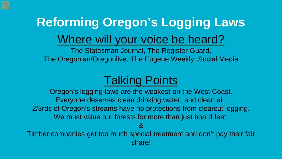# **Reforming Oregon's Logging Laws** Where will your voice be heard?

The Statesman Journal, The Register Guard, The Oregonian/Oregonlive, The Eugene Weekly, Social Media

### Talking Points

Oregon's logging laws are the weakest on the West Coast. Everyone deserves clean drinking water, and clean air. 2/3rds of Oregon's streams have no protections from clearcut logging. We must value our forests for more than just board feet. &

Timber companies get too much special treatment and don't pay their fair share!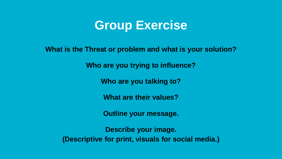### **Group Exercise**

**What is the Threat or problem and what is your solution?** 

**Who are you trying to influence?**

**Who are you talking to?**

**What are their values?**

**Outline your message.**

**Describe your image. (Descriptive for print, visuals for social media.)**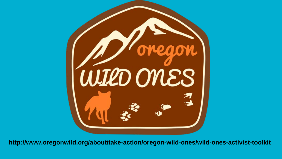

**http://www.oregonwild.org/about/take-action/oregon-wild-ones/wild-ones-activist-toolkit**